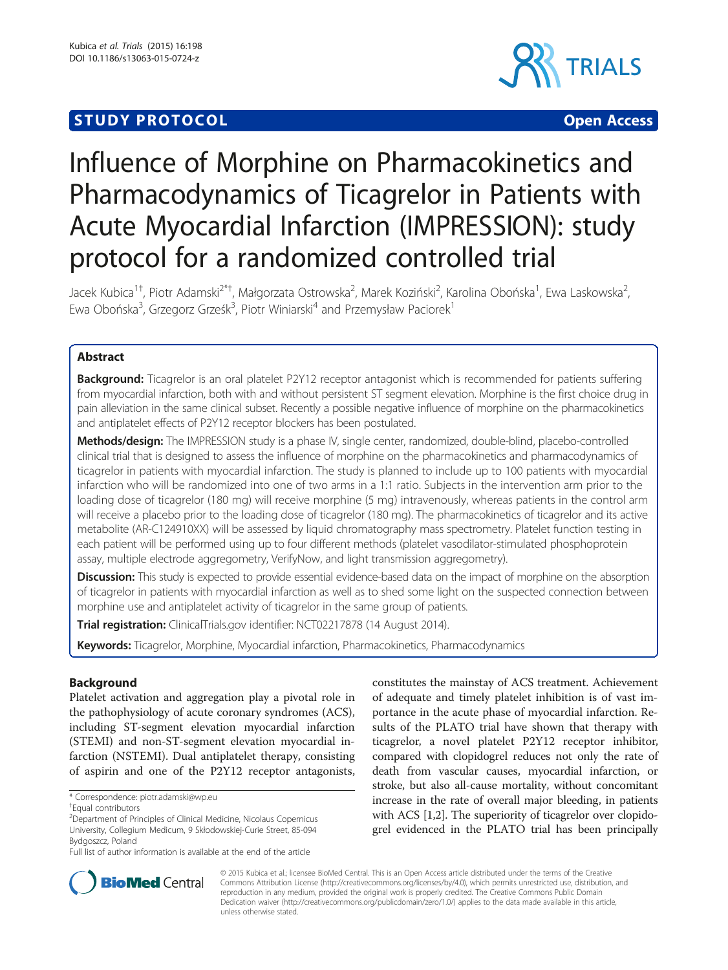# **STUDY PROTOCOL CONSUMING THE RESERVE ACCESS**



# Influence of Morphine on Pharmacokinetics and Pharmacodynamics of Ticagrelor in Patients with Acute Myocardial Infarction (IMPRESSION): study protocol for a randomized controlled trial

Jacek Kubica<sup>1†</sup>, Piotr Adamski<sup>2\*†</sup>, Małgorzata Ostrowska<sup>2</sup>, Marek Koziński<sup>2</sup>, Karolina Obońska<sup>1</sup>, Ewa Laskowska<sup>2</sup> , Ewa Obońska<sup>3</sup>, Grzegorz Grześk<sup>3</sup>, Piotr Winiarski<sup>4</sup> and Przemysław Paciorek<sup>1</sup>

# Abstract

Background: Ticagrelor is an oral platelet P2Y12 receptor antagonist which is recommended for patients suffering from myocardial infarction, both with and without persistent ST segment elevation. Morphine is the first choice drug in pain alleviation in the same clinical subset. Recently a possible negative influence of morphine on the pharmacokinetics and antiplatelet effects of P2Y12 receptor blockers has been postulated.

Methods/design: The IMPRESSION study is a phase IV, single center, randomized, double-blind, placebo-controlled clinical trial that is designed to assess the influence of morphine on the pharmacokinetics and pharmacodynamics of ticagrelor in patients with myocardial infarction. The study is planned to include up to 100 patients with myocardial infarction who will be randomized into one of two arms in a 1:1 ratio. Subjects in the intervention arm prior to the loading dose of ticagrelor (180 mg) will receive morphine (5 mg) intravenously, whereas patients in the control arm will receive a placebo prior to the loading dose of ticagrelor (180 mg). The pharmacokinetics of ticagrelor and its active metabolite (AR-C124910XX) will be assessed by liquid chromatography mass spectrometry. Platelet function testing in each patient will be performed using up to four different methods (platelet vasodilator-stimulated phosphoprotein assay, multiple electrode aggregometry, VerifyNow, and light transmission aggregometry).

Discussion: This study is expected to provide essential evidence-based data on the impact of morphine on the absorption of ticagrelor in patients with myocardial infarction as well as to shed some light on the suspected connection between morphine use and antiplatelet activity of ticagrelor in the same group of patients.

**Trial registration:** ClinicalTrials.gov identifier: [NCT02217878](http://www.clinicaltrials.gov/ct2/show/NCT02217878) (14 August 2014).

Keywords: Ticagrelor, Morphine, Myocardial infarction, Pharmacokinetics, Pharmacodynamics

# Background

Platelet activation and aggregation play a pivotal role in the pathophysiology of acute coronary syndromes (ACS), including ST-segment elevation myocardial infarction (STEMI) and non-ST-segment elevation myocardial infarction (NSTEMI). Dual antiplatelet therapy, consisting of aspirin and one of the P2Y12 receptor antagonists,

constitutes the mainstay of ACS treatment. Achievement of adequate and timely platelet inhibition is of vast importance in the acute phase of myocardial infarction. Results of the PLATO trial have shown that therapy with ticagrelor, a novel platelet P2Y12 receptor inhibitor, compared with clopidogrel reduces not only the rate of death from vascular causes, myocardial infarction, or stroke, but also all-cause mortality, without concomitant increase in the rate of overall major bleeding, in patients with ACS [\[1,2](#page-4-0)]. The superiority of ticagrelor over clopidogrel evidenced in the PLATO trial has been principally



© 2015 Kubica et al.; licensee BioMed Central. This is an Open Access article distributed under the terms of the Creative Commons Attribution License [\(http://creativecommons.org/licenses/by/4.0\)](http://creativecommons.org/licenses/by/4.0), which permits unrestricted use, distribution, and reproduction in any medium, provided the original work is properly credited. The Creative Commons Public Domain Dedication waiver [\(http://creativecommons.org/publicdomain/zero/1.0/](http://creativecommons.org/publicdomain/zero/1.0/)) applies to the data made available in this article, unless otherwise stated.

<sup>\*</sup> Correspondence: [piotr.adamski@wp.eu](mailto:piotr.adamski@wp.eu) †

Equal contributors

<sup>&</sup>lt;sup>2</sup> Department of Principles of Clinical Medicine, Nicolaus Copernicus University, Collegium Medicum, 9 Skłodowskiej-Curie Street, 85-094 Bydgoszcz, Poland

Full list of author information is available at the end of the article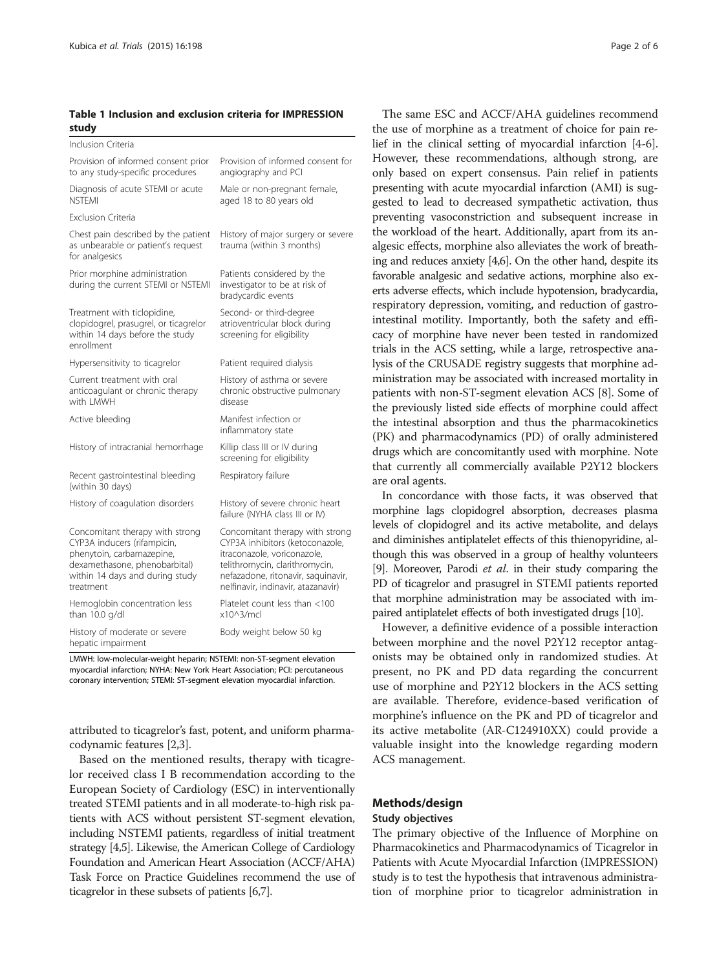# <span id="page-1-0"></span>Table 1 Inclusion and exclusion criteria for IMPRESSION study

| Inclusion Criteria                                                                                                                                                           |                                                                                                                                                                                                                 |
|------------------------------------------------------------------------------------------------------------------------------------------------------------------------------|-----------------------------------------------------------------------------------------------------------------------------------------------------------------------------------------------------------------|
| Provision of informed consent prior<br>to any study-specific procedures                                                                                                      | Provision of informed consent for<br>angiography and PCI                                                                                                                                                        |
| Diagnosis of acute STEMI or acute<br><b>NSTEMI</b>                                                                                                                           | Male or non-pregnant female,<br>aged 18 to 80 years old                                                                                                                                                         |
| <b>Exclusion Criteria</b>                                                                                                                                                    |                                                                                                                                                                                                                 |
| Chest pain described by the patient<br>as unbearable or patient's request<br>for analgesics                                                                                  | History of major surgery or severe<br>trauma (within 3 months)                                                                                                                                                  |
| Prior morphine administration<br>during the current STEMI or NSTEMI                                                                                                          | Patients considered by the<br>investigator to be at risk of<br>bradycardic events                                                                                                                               |
| Treatment with ticlopidine,<br>clopidogrel, prasugrel, or ticagrelor<br>within 14 days before the study<br>enrollment                                                        | Second- or third-degree<br>atrioventricular block during<br>screening for eligibility                                                                                                                           |
| Hypersensitivity to ticagrelor                                                                                                                                               | Patient required dialysis                                                                                                                                                                                       |
| Current treatment with oral<br>anticoagulant or chronic therapy<br>with LMWH                                                                                                 | History of asthma or severe<br>chronic obstructive pulmonary<br>disease                                                                                                                                         |
| Active bleeding                                                                                                                                                              | Manifest infection or<br>inflammatory state                                                                                                                                                                     |
| History of intracranial hemorrhage                                                                                                                                           | Killip class III or IV during<br>screening for eligibility                                                                                                                                                      |
| Recent gastrointestinal bleeding<br>(within 30 days)                                                                                                                         | Respiratory failure                                                                                                                                                                                             |
| History of coagulation disorders                                                                                                                                             | History of severe chronic heart<br>failure (NYHA class III or IV)                                                                                                                                               |
| Concomitant therapy with strong<br>CYP3A inducers (rifampicin,<br>phenytoin, carbamazepine,<br>dexamethasone, phenobarbital)<br>within 14 days and during study<br>treatment | Concomitant therapy with strong<br>CYP3A inhibitors (ketoconazole,<br>itraconazole, voriconazole,<br>telithromycin, clarithromycin,<br>nefazadone, ritonavir, saquinavir,<br>nelfinavir, indinavir, atazanavir) |
| Hemoglobin concentration less<br>than 10.0 g/dl                                                                                                                              | Platelet count less than <100<br>$x10^3/mcl$                                                                                                                                                                    |
| History of moderate or severe<br>hepatic impairment                                                                                                                          | Body weight below 50 kg                                                                                                                                                                                         |

LMWH: low-molecular-weight heparin; NSTEMI: non-ST-segment elevation myocardial infarction; NYHA: New York Heart Association; PCI: percutaneous coronary intervention; STEMI: ST-segment elevation myocardial infarction.

attributed to ticagrelor's fast, potent, and uniform pharmacodynamic features [[2](#page-4-0)[,3](#page-5-0)].

Based on the mentioned results, therapy with ticagrelor received class I B recommendation according to the European Society of Cardiology (ESC) in interventionally treated STEMI patients and in all moderate-to-high risk patients with ACS without persistent ST-segment elevation, including NSTEMI patients, regardless of initial treatment strategy [[4,5\]](#page-5-0). Likewise, the American College of Cardiology Foundation and American Heart Association (ACCF/AHA) Task Force on Practice Guidelines recommend the use of ticagrelor in these subsets of patients [\[6,7\]](#page-5-0).

The same ESC and ACCF/AHA guidelines recommend the use of morphine as a treatment of choice for pain relief in the clinical setting of myocardial infarction [\[4](#page-5-0)-[6](#page-5-0)]. However, these recommendations, although strong, are only based on expert consensus. Pain relief in patients presenting with acute myocardial infarction (AMI) is suggested to lead to decreased sympathetic activation, thus preventing vasoconstriction and subsequent increase in the workload of the heart. Additionally, apart from its analgesic effects, morphine also alleviates the work of breathing and reduces anxiety [\[4,6\]](#page-5-0). On the other hand, despite its favorable analgesic and sedative actions, morphine also exerts adverse effects, which include hypotension, bradycardia, respiratory depression, vomiting, and reduction of gastrointestinal motility. Importantly, both the safety and efficacy of morphine have never been tested in randomized trials in the ACS setting, while a large, retrospective analysis of the CRUSADE registry suggests that morphine administration may be associated with increased mortality in patients with non-ST-segment elevation ACS [\[8](#page-5-0)]. Some of the previously listed side effects of morphine could affect the intestinal absorption and thus the pharmacokinetics (PK) and pharmacodynamics (PD) of orally administered drugs which are concomitantly used with morphine. Note that currently all commercially available P2Y12 blockers are oral agents.

In concordance with those facts, it was observed that morphine lags clopidogrel absorption, decreases plasma levels of clopidogrel and its active metabolite, and delays and diminishes antiplatelet effects of this thienopyridine, although this was observed in a group of healthy volunteers [[9](#page-5-0)]. Moreover, Parodi et al. in their study comparing the PD of ticagrelor and prasugrel in STEMI patients reported that morphine administration may be associated with impaired antiplatelet effects of both investigated drugs [\[10](#page-5-0)].

However, a definitive evidence of a possible interaction between morphine and the novel P2Y12 receptor antagonists may be obtained only in randomized studies. At present, no PK and PD data regarding the concurrent use of morphine and P2Y12 blockers in the ACS setting are available. Therefore, evidence-based verification of morphine's influence on the PK and PD of ticagrelor and its active metabolite (AR-C124910XX) could provide a valuable insight into the knowledge regarding modern ACS management.

# Methods/design

# Study objectives

The primary objective of the Influence of Morphine on Pharmacokinetics and Pharmacodynamics of Ticagrelor in Patients with Acute Myocardial Infarction (IMPRESSION) study is to test the hypothesis that intravenous administration of morphine prior to ticagrelor administration in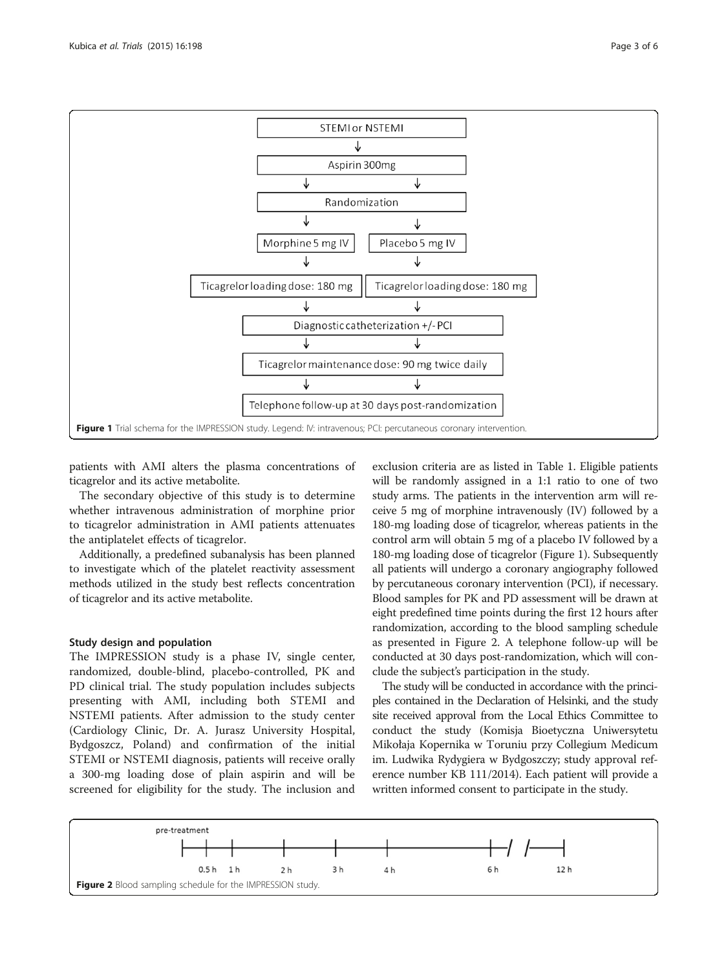<span id="page-2-0"></span>

patients with AMI alters the plasma concentrations of ticagrelor and its active metabolite.

The secondary objective of this study is to determine whether intravenous administration of morphine prior to ticagrelor administration in AMI patients attenuates the antiplatelet effects of ticagrelor.

Additionally, a predefined subanalysis has been planned to investigate which of the platelet reactivity assessment methods utilized in the study best reflects concentration of ticagrelor and its active metabolite.

# Study design and population

The IMPRESSION study is a phase IV, single center, randomized, double-blind, placebo-controlled, PK and PD clinical trial. The study population includes subjects presenting with AMI, including both STEMI and NSTEMI patients. After admission to the study center (Cardiology Clinic, Dr. A. Jurasz University Hospital, Bydgoszcz, Poland) and confirmation of the initial STEMI or NSTEMI diagnosis, patients will receive orally a 300-mg loading dose of plain aspirin and will be screened for eligibility for the study. The inclusion and exclusion criteria are as listed in Table [1](#page-1-0). Eligible patients will be randomly assigned in a 1:1 ratio to one of two study arms. The patients in the intervention arm will receive 5 mg of morphine intravenously (IV) followed by a 180-mg loading dose of ticagrelor, whereas patients in the control arm will obtain 5 mg of a placebo IV followed by a 180-mg loading dose of ticagrelor (Figure 1). Subsequently all patients will undergo a coronary angiography followed by percutaneous coronary intervention (PCI), if necessary. Blood samples for PK and PD assessment will be drawn at eight predefined time points during the first 12 hours after randomization, according to the blood sampling schedule as presented in Figure 2. A telephone follow-up will be conducted at 30 days post-randomization, which will conclude the subject's participation in the study.

The study will be conducted in accordance with the principles contained in the Declaration of Helsinki, and the study site received approval from the Local Ethics Committee to conduct the study (Komisja Bioetyczna Uniwersytetu Mikołaja Kopernika w Toruniu przy Collegium Medicum im. Ludwika Rydygiera w Bydgoszczy; study approval reference number KB 111/2014). Each patient will provide a written informed consent to participate in the study.

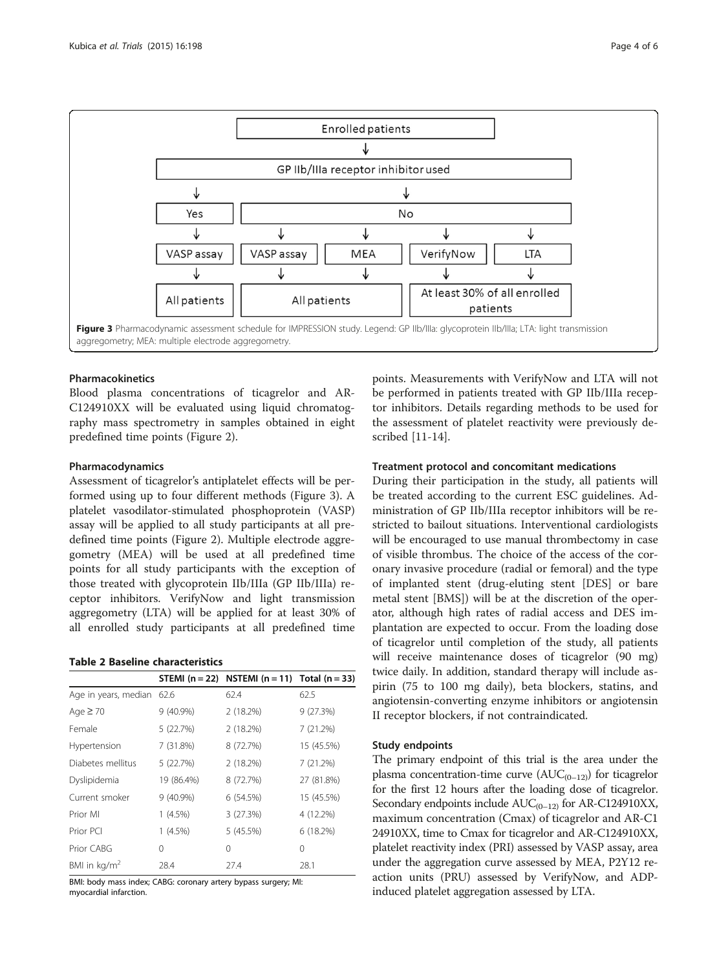<span id="page-3-0"></span>

# Pharmacokinetics

Blood plasma concentrations of ticagrelor and AR-C124910XX will be evaluated using liquid chromatography mass spectrometry in samples obtained in eight predefined time points (Figure [2](#page-2-0)).

# Pharmacodynamics

Assessment of ticagrelor's antiplatelet effects will be performed using up to four different methods (Figure 3). A platelet vasodilator-stimulated phosphoprotein (VASP) assay will be applied to all study participants at all predefined time points (Figure [2\)](#page-2-0). Multiple electrode aggregometry (MEA) will be used at all predefined time points for all study participants with the exception of those treated with glycoprotein IIb/IIIa (GP IIb/IIIa) receptor inhibitors. VerifyNow and light transmission aggregometry (LTA) will be applied for at least 30% of all enrolled study participants at all predefined time

#### Table 2 Baseline characteristics

|                           |             | STEMI ( $n = 22$ ) NSTEMI ( $n = 11$ ) Total ( $n = 33$ ) |            |
|---------------------------|-------------|-----------------------------------------------------------|------------|
| Age in years, median 62.6 |             | 62.4                                                      | 62.5       |
| Age $\geq 70$             | 9 (40.9%)   | 2(18.2%)                                                  | 9(27.3%)   |
| Female                    | 5(22.7%)    | 2(18.2%)                                                  | 7(21.2%)   |
| Hypertension              | 7 (31.8%)   | 8 (72.7%)                                                 | 15 (45.5%) |
| Diabetes mellitus         | 5(22.7%)    | 2 (18.2%)                                                 | 7(21.2%)   |
| Dyslipidemia              | 19 (86.4%)  | 8 (72.7%)                                                 | 27 (81.8%) |
| Current smoker            | $9(40.9\%)$ | 6(54.5%)                                                  | 15 (45.5%) |
| Prior MI                  | $1(4.5\%)$  | 3(27.3%)                                                  | 4 (12.2%)  |
| Prior PCI                 | $1(4.5\%)$  | 5(45.5%)                                                  | 6(18.2%)   |
| Prior CABG                | 0           | 0                                                         | $\Omega$   |
| BMI in kg/m <sup>2</sup>  | 28.4        | 27.4                                                      | 28.1       |

BMI: body mass index; CABG: coronary artery bypass surgery; MI: myocardial infarction.

points. Measurements with VerifyNow and LTA will not be performed in patients treated with GP IIb/IIIa receptor inhibitors. Details regarding methods to be used for the assessment of platelet reactivity were previously described [[11-14](#page-5-0)].

# Treatment protocol and concomitant medications

During their participation in the study, all patients will be treated according to the current ESC guidelines. Administration of GP IIb/IIIa receptor inhibitors will be restricted to bailout situations. Interventional cardiologists will be encouraged to use manual thrombectomy in case of visible thrombus. The choice of the access of the coronary invasive procedure (radial or femoral) and the type of implanted stent (drug-eluting stent [DES] or bare metal stent [BMS]) will be at the discretion of the operator, although high rates of radial access and DES implantation are expected to occur. From the loading dose of ticagrelor until completion of the study, all patients will receive maintenance doses of ticagrelor (90 mg) twice daily. In addition, standard therapy will include aspirin (75 to 100 mg daily), beta blockers, statins, and angiotensin-converting enzyme inhibitors or angiotensin II receptor blockers, if not contraindicated.

#### Study endpoints

The primary endpoint of this trial is the area under the plasma concentration-time curve  $(AUC_{(0-12)})$  for ticagrelor for the first 12 hours after the loading dose of ticagrelor. Secondary endpoints include  $AUC_{(0-12)}$  for AR-C124910XX, maximum concentration (Cmax) of ticagrelor and AR-C1 24910XX, time to Cmax for ticagrelor and AR-C124910XX, platelet reactivity index (PRI) assessed by VASP assay, area under the aggregation curve assessed by MEA, P2Y12 reaction units (PRU) assessed by VerifyNow, and ADPinduced platelet aggregation assessed by LTA.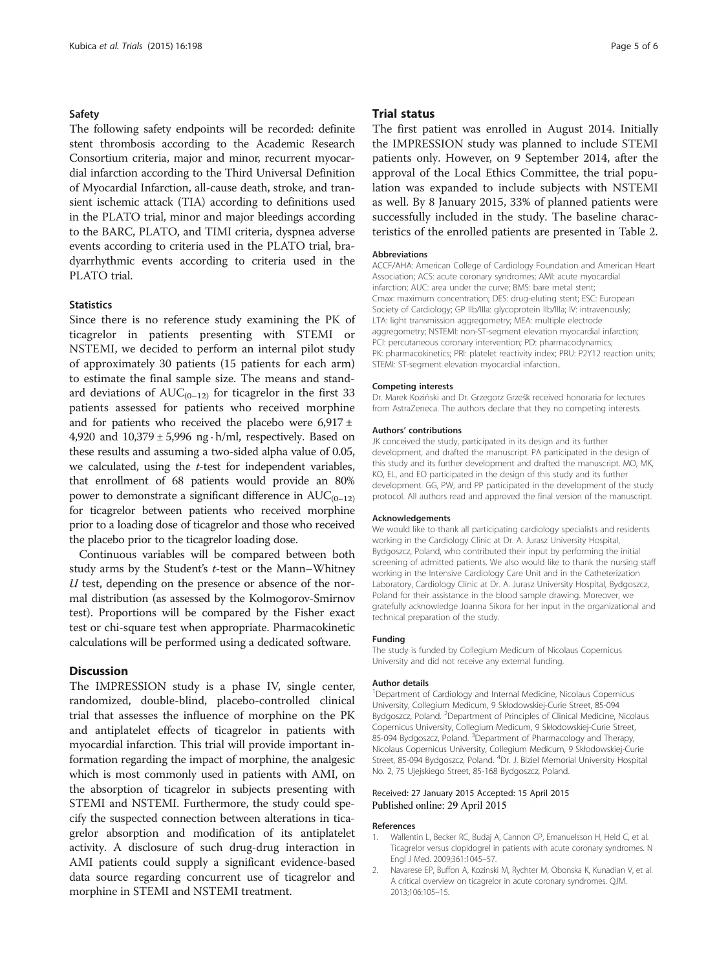#### <span id="page-4-0"></span>Safety

The following safety endpoints will be recorded: definite stent thrombosis according to the Academic Research Consortium criteria, major and minor, recurrent myocardial infarction according to the Third Universal Definition of Myocardial Infarction, all-cause death, stroke, and transient ischemic attack (TIA) according to definitions used in the PLATO trial, minor and major bleedings according to the BARC, PLATO, and TIMI criteria, dyspnea adverse events according to criteria used in the PLATO trial, bradyarrhythmic events according to criteria used in the PLATO trial.

# **Statistics**

Since there is no reference study examining the PK of ticagrelor in patients presenting with STEMI or NSTEMI, we decided to perform an internal pilot study of approximately 30 patients (15 patients for each arm) to estimate the final sample size. The means and standard deviations of  $AUC_{(0-12)}$  for ticagrelor in the first 33 patients assessed for patients who received morphine and for patients who received the placebo were  $6,917 \pm$ 4,920 and  $10,379 \pm 5,996$  ng  $\cdot$  h/ml, respectively. Based on these results and assuming a two-sided alpha value of 0.05, we calculated, using the t-test for independent variables, that enrollment of 68 patients would provide an 80% power to demonstrate a significant difference in  $AUC_{(0-12)}$ for ticagrelor between patients who received morphine prior to a loading dose of ticagrelor and those who received the placebo prior to the ticagrelor loading dose.

Continuous variables will be compared between both study arms by the Student's t-test or the Mann–Whitney  $U$  test, depending on the presence or absence of the normal distribution (as assessed by the Kolmogorov-Smirnov test). Proportions will be compared by the Fisher exact test or chi-square test when appropriate. Pharmacokinetic calculations will be performed using a dedicated software.

# **Discussion**

The IMPRESSION study is a phase IV, single center, randomized, double-blind, placebo-controlled clinical trial that assesses the influence of morphine on the PK and antiplatelet effects of ticagrelor in patients with myocardial infarction. This trial will provide important information regarding the impact of morphine, the analgesic which is most commonly used in patients with AMI, on the absorption of ticagrelor in subjects presenting with STEMI and NSTEMI. Furthermore, the study could specify the suspected connection between alterations in ticagrelor absorption and modification of its antiplatelet activity. A disclosure of such drug-drug interaction in AMI patients could supply a significant evidence-based data source regarding concurrent use of ticagrelor and morphine in STEMI and NSTEMI treatment.

#### Trial status

The first patient was enrolled in August 2014. Initially the IMPRESSION study was planned to include STEMI patients only. However, on 9 September 2014, after the approval of the Local Ethics Committee, the trial population was expanded to include subjects with NSTEMI as well. By 8 January 2015, 33% of planned patients were successfully included in the study. The baseline characteristics of the enrolled patients are presented in Table [2](#page-3-0).

#### Abbreviations

ACCF/AHA: American College of Cardiology Foundation and American Heart Association; ACS: acute coronary syndromes; AMI: acute myocardial infarction; AUC: area under the curve; BMS: bare metal stent; Cmax: maximum concentration; DES: drug-eluting stent; ESC: European Society of Cardiology; GP IIb/IIIa: glycoprotein IIb/IIIa; IV: intravenously; LTA: light transmission aggregometry; MEA: multiple electrode aggregometry; NSTEMI: non-ST-segment elevation myocardial infarction; PCI: percutaneous coronary intervention; PD: pharmacodynamics; PK: pharmacokinetics; PRI: platelet reactivity index; PRU: P2Y12 reaction units; STEMI: ST-segment elevation myocardial infarction..

#### Competing interests

Dr. Marek Koziński and Dr. Grzegorz Grześk received honoraria for lectures from AstraZeneca. The authors declare that they no competing interests.

#### Authors' contributions

JK conceived the study, participated in its design and its further development, and drafted the manuscript. PA participated in the design of this study and its further development and drafted the manuscript. MO, MK, KO, EL, and EO participated in the design of this study and its further development. GG, PW, and PP participated in the development of the study protocol. All authors read and approved the final version of the manuscript.

#### Acknowledgements

We would like to thank all participating cardiology specialists and residents working in the Cardiology Clinic at Dr. A. Jurasz University Hospital, Bydgoszcz, Poland, who contributed their input by performing the initial screening of admitted patients. We also would like to thank the nursing staff working in the Intensive Cardiology Care Unit and in the Catheterization Laboratory, Cardiology Clinic at Dr. A. Jurasz University Hospital, Bydgoszcz, Poland for their assistance in the blood sample drawing. Moreover, we gratefully acknowledge Joanna Sikora for her input in the organizational and technical preparation of the study.

#### Funding

The study is funded by Collegium Medicum of Nicolaus Copernicus University and did not receive any external funding.

#### Author details

<sup>1</sup>Department of Cardiology and Internal Medicine, Nicolaus Copernicus University, Collegium Medicum, 9 Skłodowskiej-Curie Street, 85-094 Bydgoszcz, Poland. <sup>2</sup> Department of Principles of Clinical Medicine, Nicolaus Copernicus University, Collegium Medicum, 9 Skłodowskiej-Curie Street, 85-094 Bydgoszcz, Poland. <sup>3</sup>Department of Pharmacology and Therapy Nicolaus Copernicus University, Collegium Medicum, 9 Skłodowskiej-Curie Street, 85-094 Bydgoszcz, Poland. <sup>4</sup>Dr. J. Biziel Memorial University Hospital No. 2, 75 Ujejskiego Street, 85-168 Bydgoszcz, Poland.

#### Received: 27 January 2015 Accepted: 15 April 2015 Published online: 29 April 2015

#### References

- 1. Wallentin L, Becker RC, Budaj A, Cannon CP, Emanuelsson H, Held C, et al. Ticagrelor versus clopidogrel in patients with acute coronary syndromes. N Engl J Med. 2009;361:1045–57.
- 2. Navarese EP, Buffon A, Kozinski M, Rychter M, Obonska K, Kunadian V, et al. A critical overview on ticagrelor in acute coronary syndromes. QJM. 2013;106:105–15.